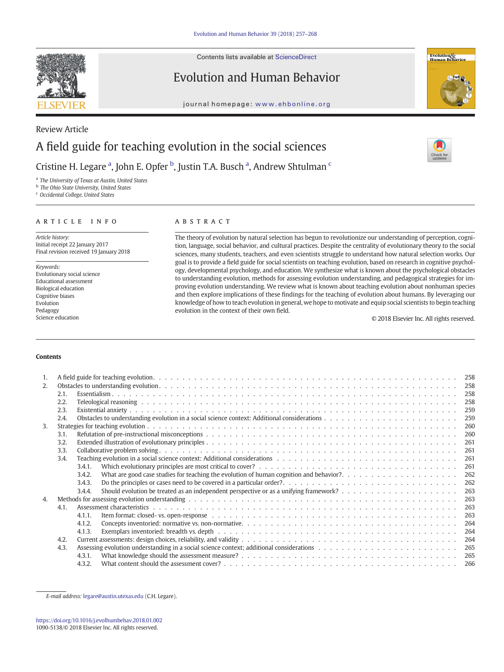

Contents lists available at ScienceDirect

# Evolution and Human Behavior

journal homepage: <www.ehbonline.org>



# Review Article A field guide for teaching evolution in the social sciences

Cristine H. Legare <sup>a</sup>, John E. Opfer <sup>b</sup>, Justin T.A. Busch <sup>a</sup>, Andrew Shtulman <sup>c</sup>

<sup>a</sup> The University of Texas at Austin, United States

**b** The Ohio State University, United States

<sup>c</sup> Occidental College, United States

## article info abstract

Article history: Initial receipt 22 January 2017 Final revision received 19 January 2018

Keywords: Evolutionary social science Educational assessment Biological education Cognitive biases Evolution Pedagogy Science education

The theory of evolution by natural selection has begun to revolutionize our understanding of perception, cognition, language, social behavior, and cultural practices. Despite the centrality of evolutionary theory to the social sciences, many students, teachers, and even scientists struggle to understand how natural selection works. Our goal is to provide a field guide for social scientists on teaching evolution, based on research in cognitive psychology, developmental psychology, and education. We synthesize what is known about the psychological obstacles to understanding evolution, methods for assessing evolution understanding, and pedagogical strategies for improving evolution understanding. We review what is known about teaching evolution about nonhuman species and then explore implications of these findings for the teaching of evolution about humans. By leveraging our knowledge of how to teach evolution in general, we hope to motivate and equip social scientists to begin teaching evolution in the context of their own field.

© 2018 Elsevier Inc. All rights reserved.

# Contents

| 1.               |      |        |  |     |  |  |
|------------------|------|--------|--|-----|--|--|
| 2.               |      |        |  |     |  |  |
|                  | 2.1. |        |  |     |  |  |
|                  | 2.2. |        |  | 258 |  |  |
| 2.3.             |      |        |  | 259 |  |  |
| 2.4.             |      |        |  | 259 |  |  |
| 3.               |      | 260    |  |     |  |  |
|                  | 3.1. | 260    |  |     |  |  |
|                  | 3.2. |        |  | 261 |  |  |
|                  | 3.3. |        |  | 261 |  |  |
|                  | 3.4. |        |  | 261 |  |  |
|                  |      | 3.4.1. |  | 261 |  |  |
|                  |      | 3.4.2. |  | 262 |  |  |
|                  |      | 3.4.3. |  | 262 |  |  |
|                  |      | 3.4.4. |  | 263 |  |  |
| $\overline{4}$ . |      | 263    |  |     |  |  |
|                  | 4.1. |        |  | 263 |  |  |
|                  |      | 4.1.1  |  | 263 |  |  |
|                  |      | 4.1.2. |  | 264 |  |  |
|                  |      | 4.1.3. |  | 264 |  |  |
|                  | 4.2. |        |  |     |  |  |
| 4.3.             |      |        |  | 265 |  |  |
|                  |      | 4.3.1. |  | 265 |  |  |
|                  |      | 4.3.2. |  | 266 |  |  |

E-mail address: [legare@austin.utexas.edu](mailto:legare@austin.utexas.edu) (C.H. Legare).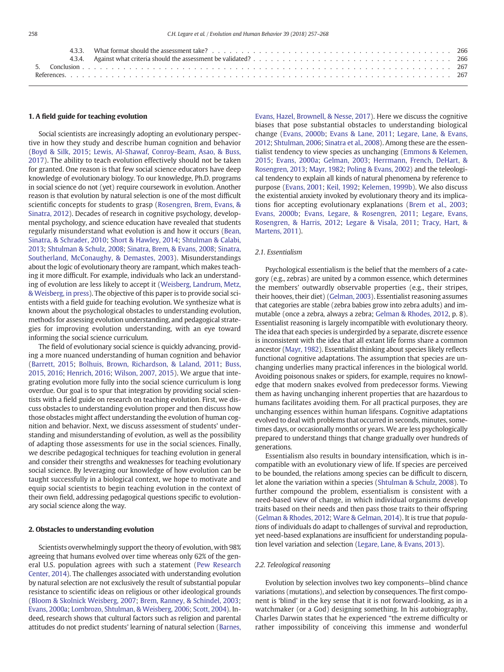#### 1. A field guide for teaching evolution

Social scientists are increasingly adopting an evolutionary perspective in how they study and describe human cognition and behavior [\(Boyd & Silk, 2015;](#page-10-0) [Lewis, Al-Shawaf, Conroy-Beam, Asao, & Buss,](#page-11-0) [2017](#page-11-0)). The ability to teach evolution effectively should not be taken for granted. One reason is that few social science educators have deep knowledge of evolutionary biology. To our knowledge, Ph.D. programs in social science do not (yet) require coursework in evolution. Another reason is that evolution by natural selection is one of the most difficult scientific concepts for students to grasp ([Rosengren, Brem, Evans, &](#page-11-0) [Sinatra, 2012](#page-11-0)). Decades of research in cognitive psychology, developmental psychology, and science education have revealed that students regularly misunderstand what evolution is and how it occurs ([Bean,](#page-10-0) [Sinatra, & Schrader, 2010;](#page-10-0) [Short & Hawley, 2014;](#page-11-0) [Shtulman & Calabi,](#page-11-0) [2013;](#page-11-0) [Shtulman & Schulz, 2008;](#page-11-0) [Sinatra, Brem, & Evans, 2008](#page-11-0); [Sinatra,](#page-11-0) [Southerland, McConaughy, & Demastes, 2003](#page-11-0)). Misunderstandings about the logic of evolutionary theory are rampant, which makes teaching it more difficult. For example, individuals who lack an understanding of evolution are less likely to accept it ([Weisberg, Landrum, Metz,](#page-11-0) [& Weisberg, in press](#page-11-0)). The objective of this paper is to provide social scientists with a field guide for teaching evolution. We synthesize what is known about the psychological obstacles to understanding evolution, methods for assessing evolution understanding, and pedagogical strategies for improving evolution understanding, with an eye toward informing the social science curriculum.

The field of evolutionary social science is quickly advancing, providing a more nuanced understanding of human cognition and behavior [\(Barrett, 2015;](#page-10-0) [Bolhuis, Brown, Richardson, & Laland, 2011;](#page-10-0) [Buss,](#page-10-0) [2015, 2016](#page-10-0); [Henrich, 2016](#page-11-0); [Wilson, 2007, 2015\)](#page-11-0). We argue that integrating evolution more fully into the social science curriculum is long overdue. Our goal is to spur that integration by providing social scientists with a field guide on research on teaching evolution. First, we discuss obstacles to understanding evolution proper and then discuss how those obstacles might affect understanding the evolution of human cognition and behavior. Next, we discuss assessment of students' understanding and misunderstanding of evolution, as well as the possibility of adapting those assessments for use in the social sciences. Finally, we describe pedagogical techniques for teaching evolution in general and consider their strengths and weaknesses for teaching evolutionary social science. By leveraging our knowledge of how evolution can be taught successfully in a biological context, we hope to motivate and equip social scientists to begin teaching evolution in the context of their own field, addressing pedagogical questions specific to evolutionary social science along the way.

#### 2. Obstacles to understanding evolution

Scientists overwhelmingly support the theory of evolution, with 98% agreeing that humans evolved over time whereas only 62% of the general U.S. population agrees with such a statement ([Pew Research](#page-11-0) [Center, 2014\)](#page-11-0). The challenges associated with understanding evolution by natural selection are not exclusively the result of substantial popular resistance to scientific ideas on religious or other ideological grounds [\(Bloom & Skolnick Weisberg, 2007;](#page-10-0) [Brem, Ranney, & Schindel, 2003](#page-10-0); [Evans, 2000a;](#page-10-0) [Lombrozo, Shtulman, & Weisberg, 2006;](#page-11-0) [Scott, 2004](#page-11-0)). Indeed, research shows that cultural factors such as religion and parental attitudes do not predict students' learning of natural selection [\(Barnes,](#page-10-0)

[Evans, Hazel, Brownell, & Nesse, 2017\)](#page-10-0). Here we discuss the cognitive biases that pose substantial obstacles to understanding biological change ([Evans, 2000b](#page-10-0); [Evans & Lane, 2011;](#page-10-0) [Legare, Lane, & Evans,](#page-11-0) [2012;](#page-11-0) [Shtulman, 2006;](#page-11-0) [Sinatra et al., 2008\)](#page-11-0). Among these are the essentialist tendency to view species as unchanging ([Emmons & Kelemen,](#page-10-0) [2015](#page-10-0); [Evans, 2000a](#page-10-0); [Gelman, 2003](#page-10-0); [Herrmann, French, DeHart, &](#page-11-0) [Rosengren, 2013;](#page-11-0) [Mayr, 1982;](#page-11-0) [Poling & Evans, 2002](#page-11-0)) and the teleological tendency to explain all kinds of natural phenomena by reference to purpose [\(Evans, 2001](#page-10-0); [Keil, 1992;](#page-11-0) [Kelemen, 1999b](#page-11-0)). We also discuss the existential anxiety invoked by evolutionary theory and its implications fior accepting evolutionary explanations ([Brem et al., 2003](#page-10-0); [Evans, 2000b;](#page-10-0) [Evans, Legare, & Rosengren, 2011;](#page-10-0) [Legare, Evans,](#page-11-0) [Rosengren, & Harris, 2012;](#page-11-0) [Legare & Visala, 2011;](#page-11-0) [Tracy, Hart, &](#page-11-0) [Martens, 2011\)](#page-11-0).

#### 2.1. Essentialism

Psychological essentialism is the belief that the members of a category (e.g., zebras) are united by a common essence, which determines the members' outwardly observable properties (e.g., their stripes, their hooves, their diet) ([Gelman, 2003](#page-10-0)). Essentialist reasoning assumes that categories are stable (zebra babies grow into zebra adults) and immutable (once a zebra, always a zebra; [Gelman & Rhodes, 2012](#page-10-0), p. 8). Essentialist reasoning is largely incompatible with evolutionary theory. The idea that each species is undergirded by a separate, discrete essence is inconsistent with the idea that all extant life forms share a common ancestor [\(Mayr, 1982\)](#page-11-0). Essentialist thinking about species likely reflects functional cognitive adaptations. The assumption that species are unchanging underlies many practical inferences in the biological world. Avoiding poisonous snakes or spiders, for example, requires no knowledge that modern snakes evolved from predecessor forms. Viewing them as having unchanging inherent properties that are hazardous to humans facilitates avoiding them. For all practical purposes, they are unchanging essences within human lifespans. Cognitive adaptations evolved to deal with problems that occurred in seconds, minutes, sometimes days, or occasionally months or years. We are less psychologically prepared to understand things that change gradually over hundreds of generations.

Essentialism also results in boundary intensification, which is incompatible with an evolutionary view of life. If species are perceived to be bounded, the relations among species can be difficult to discern, let alone the variation within a species ([Shtulman & Schulz, 2008](#page-11-0)). To further compound the problem, essentialism is consistent with a need-based view of change, in which individual organisms develop traits based on their needs and then pass those traits to their offspring [\(Gelman & Rhodes, 2012](#page-10-0); [Ware & Gelman, 2014\)](#page-11-0). It is true that populations of individuals do adapt to challenges of survival and reproduction, yet need-based explanations are insufficient for understanding population level variation and selection [\(Legare, Lane, & Evans, 2013](#page-11-0)).

#### 2.2. Teleological reasoning

Evolution by selection involves two key components—blind chance variations (mutations), and selection by consequences. The first component is 'blind' in the key sense that it is not forward-looking, as in a watchmaker (or a God) designing something. In his autobiography, Charles Darwin states that he experienced "the extreme difficulty or rather impossibility of conceiving this immense and wonderful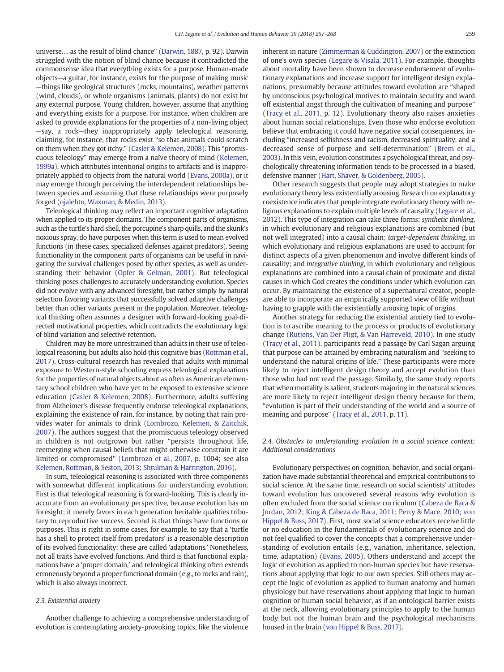universe… as the result of blind chance" [\(Darwin, 1887,](#page-10-0) p. 92). Darwin struggled with the notion of blind chance because it contradicted the commonsense idea that everything exists for a purpose. Human-made objects—a guitar, for instance, exists for the purpose of making music —things like geological structures (rocks, mountains), weather patterns (wind, clouds), or whole organisms (animals, plants) do not exist for any external purpose. Young children, however, assume that anything and everything exists for a purpose. For instance, when children are asked to provide explanations for the properties of a non-living object —say, a rock—they inappropriately apply teleological reasoning, claiming, for instance, that rocks exist "so that animals could scratch on them when they got itchy." [\(Casler & Kelemen, 2008\)](#page-10-0). This "promiscuous teleology" may emerge from a naïve theory of mind ([Kelemen,](#page-11-0) [1999a](#page-11-0)), which attributes intentional origins to artifacts and is inappropriately applied to objects from the natural world [\(Evans, 2000a](#page-10-0)), or it may emerge through perceiving the interdependent relationships between species and assuming that these relationships were purposely forged [\(ojalehto, Waxman, & Medin, 2013\)](#page-11-0).

Teleological thinking may reflect an important cognitive adaptation when applied to its proper domains. The component parts of organisms, such as the turtle's hard shell, the porcupine's sharp quills, and the skunk's noxious spray, do have purposes when this term is used to mean evolved functions (in these cases, specialized defenses against predators). Seeing functionality in the component parts of organisms can be useful in navigating the survival challenges posed by other species, as well as understanding their behavior [\(Opfer & Gelman, 2001](#page-11-0)). But teleological thinking poses challenges to accurately understanding evolution. Species did not evolve with any advanced foresight, but rather simply by natural selection favoring variants that successfully solved adaptive challenges better than other variants present in the population. Moreover, teleological thinking often assumes a designer with forward-looking goal-directed motivational properties, which contradicts the evolutionary logic of blind variation and selective retention.

Children may be more unrestrained than adults in their use of teleological reasoning, but adults also hold this cognitive bias [\(Rottman et al.,](#page-11-0) [2017\)](#page-11-0). Cross-cultural research has revealed that adults with minimal exposure to Western-style schooling express teleological explanations for the properties of natural objects about as often as American elementary school children who have yet to be exposed to extensive science education ([Casler & Kelemen, 2008](#page-10-0)). Furthermore, adults suffering from Alzheimer's disease frequently endorse teleological explanations, explaining the existence of rain, for instance, by noting that rain provides water for animals to drink ([Lombrozo, Kelemen, & Zaitchik,](#page-11-0) [2007\)](#page-11-0). The authors suggest that the promiscuous teleology observed in children is not outgrown but rather "persists throughout life, reemerging when causal beliefs that might otherwise constrain it are limited or compromised" [\(Lombrozo et al., 2007](#page-11-0), p. 1004; see also [Kelemen, Rottman, & Seston, 2013;](#page-11-0) [Shtulman & Harrington, 2016\)](#page-11-0).

In sum, teleological reasoning is associated with three components with somewhat different implications for understanding evolution. First is that teleological reasoning is forward-looking. This is clearly inaccurate from an evolutionary perspective, because evolution has no foresight; it merely favors in each generation heritable qualities tributary to reproductive success. Second is that things have functions or purposes. This is right in some cases, for example, to say that a 'turtle has a shell to protect itself from predators' is a reasonable description of its evolved functionality; these are called 'adaptations.' Nonetheless, not all traits have evolved functions. And third is that functional explanations have a 'proper domain,' and teleological thinking often extends erroneously beyond a proper functional domain (e.g., to rocks and rain), which is also always incorrect.

# 2.3. Existential anxiety

Another challenge to achieving a comprehensive understanding of evolution is contemplating anxiety-provoking topics, like the violence

inherent in nature ([Zimmerman & Cuddington, 2007](#page-11-0)) or the extinction of one's own species [\(Legare & Visala, 2011](#page-11-0)). For example, thoughts about mortality have been shown to decrease endorsement of evolutionary explanations and increase support for intelligent design explanations, presumably because attitudes toward evolution are "shaped by unconscious psychological motives to maintain security and ward off existential angst through the cultivation of meaning and purpose" [\(Tracy et al., 2011,](#page-11-0) p. 12). Evolutionary theory also raises anxieties about human social relationships. Even those who endorse evolution believe that embracing it could have negative social consequences, including "increased selfishness and racism, decreased spirituality, and a decreased sense of purpose and self-determination" ([Brem et al.,](#page-10-0) [2003](#page-10-0)). In this vein, evolution constitutes a psychological threat, and psychologically threatening information tends to be processed in a biased, defensive manner ([Hart, Shaver, & Goldenberg, 2005\)](#page-10-0).

Other research suggests that people may adopt strategies to make evolutionary theory less existentially arousing. Research on explanatory coexistence indicates that people integrate evolutionary theory with religious explanations to explain multiple levels of causality [\(Legare et al.,](#page-11-0) [2012](#page-11-0)). This type of integration can take three forms: synthetic thinking, in which evolutionary and religious explanations are combined (but not well integrated) into a causal chain; target-dependent thinking, in which evolutionary and religious explanations are used to account for distinct aspects of a given phenomenon and involve different kinds of causality; and integrative thinking, in which evolutionary and religious explanations are combined into a causal chain of proximate and distal causes in which God creates the conditions under which evolution can occur. By maintaining the existence of a supernatural creator, people are able to incorporate an empirically supported view of life without having to grapple with the existentially arousing topic of origins.

Another strategy for reducing the existential anxiety tied to evolution is to ascribe meaning to the process or products of evolutionary change [\(Rutjens, Van Der Pligt, & Van Harreveld, 2010\)](#page-11-0). In one study [\(Tracy et al., 2011](#page-11-0)), participants read a passage by Carl Sagan arguing that purpose can be attained by embracing naturalism and "seeking to understand the natural origins of life." These participants were more likely to reject intelligent design theory and accept evolution than those who had not read the passage. Similarly, the same study reports that when mortality is salient, students majoring in the natural sciences are more likely to reject intelligent design theory because for them, "evolution is part of their understanding of the world and a source of meaning and purpose" ([Tracy et al., 2011,](#page-11-0) p. 11).

# 2.4. Obstacles to understanding evolution in a social science context: Additional considerations

Evolutionary perspectives on cognition, behavior, and social organization have made substantial theoretical and empirical contributions to social science. At the same time, research on social scientists' attitudes toward evolution has uncovered several reasons why evolution is often excluded from the social science curriculum [\(Cabeza de Baca &](#page-10-0) [Jordan, 2012;](#page-10-0) [King & Cabeza de Baca, 2011;](#page-11-0) [Perry & Mace, 2010;](#page-11-0) [von](#page-11-0) [Hippel & Buss, 2017](#page-11-0)). First, most social science educators receive little or no education in the fundamentals of evolutionary science and do not feel qualified to cover the concepts that a comprehensive understanding of evolution entails (e.g., variation, inheritance, selection, time, adaptation) ([Evans, 2005](#page-10-0)). Others understand and accept the logic of evolution as applied to non-human species but have reservations about applying that logic to our own species. Still others may accept the logic of evolution as applied to human anatomy and human physiology but have reservations about applying that logic to human cognition or human social behavior, as if an ontological barrier exists at the neck, allowing evolutionary principles to apply to the human body but not the human brain and the psychological mechanisms housed in the brain [\(von Hippel & Buss, 2017](#page-11-0)).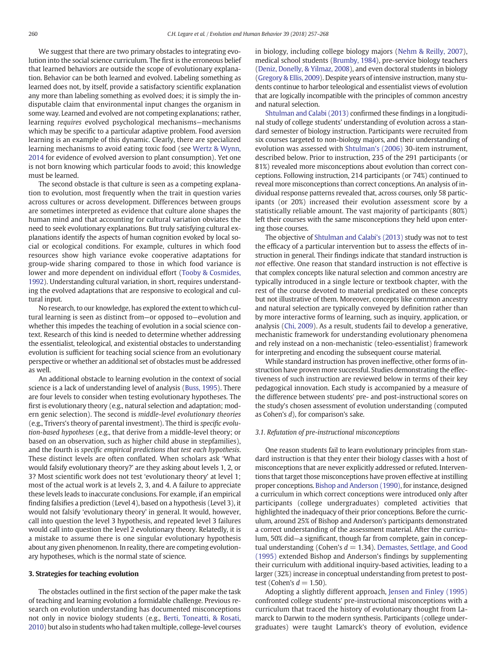We suggest that there are two primary obstacles to integrating evolution into the social science curriculum. The first is the erroneous belief that learned behaviors are outside the scope of evolutionary explanation. Behavior can be both learned and evolved. Labeling something as learned does not, by itself, provide a satisfactory scientific explanation any more than labeling something as evolved does; it is simply the indisputable claim that environmental input changes the organism in some way. Learned and evolved are not competing explanations; rather, learning requires evolved psychological mechanisms—mechanisms which may be specific to a particular adaptive problem. Food aversion learning is an example of this dynamic. Clearly, there are specialized learning mechanisms to avoid eating toxic food (see [Wertz & Wynn,](#page-11-0) [2014](#page-11-0) for evidence of evolved aversion to plant consumption). Yet one is not born knowing which particular foods to avoid; this knowledge must be learned.

The second obstacle is that culture is seen as a competing explanation to evolution, most frequently when the trait in question varies across cultures or across development. Differences between groups are sometimes interpreted as evidence that culture alone shapes the human mind and that accounting for cultural variation obviates the need to seek evolutionary explanations. But truly satisfying cultural explanations identify the aspects of human cognition evoked by local social or ecological conditions. For example, cultures in which food resources show high variance evoke cooperative adaptations for group-wide sharing compared to those in which food variance is lower and more dependent on individual effort ([Tooby & Cosmides,](#page-11-0) [1992\)](#page-11-0). Understanding cultural variation, in short, requires understanding the evolved adaptations that are responsive to ecological and cultural input.

No research, to our knowledge, has explored the extent to which cultural learning is seen as distinct from—or opposed to—evolution and whether this impedes the teaching of evolution in a social science context. Research of this kind is needed to determine whether addressing the essentialist, teleological, and existential obstacles to understanding evolution is sufficient for teaching social science from an evolutionary perspective or whether an additional set of obstacles must be addressed as well.

An additional obstacle to learning evolution in the context of social science is a lack of understanding level of analysis ([Buss, 1995\)](#page-10-0). There are four levels to consider when testing evolutionary hypotheses. The first is evolutionary theory (e.g., natural selection and adaptation; modern genic selection). The second is middle-level evolutionary theories (e.g., Trivers's theory of parental investment). The third is specific evolution-based hypotheses (e.g., that derive from a middle-level theory; or based on an observation, such as higher child abuse in stepfamilies), and the fourth is specific empirical predictions that test each hypothesis. These distinct levels are often conflated. When scholars ask 'What would falsify evolutionary theory?' are they asking about levels 1, 2, or 3? Most scientific work does not test 'evolutionary theory' at level 1; most of the actual work is at levels 2, 3, and 4. A failure to appreciate these levels leads to inaccurate conclusions. For example, if an empirical finding falsifies a prediction (Level 4), based on a hypothesis (Level 3), it would not falsify 'evolutionary theory' in general. It would, however, call into question the level 3 hypothesis, and repeated level 3 failures would call into question the level 2 evolutionary theory. Relatedly, it is a mistake to assume there is one singular evolutionary hypothesis about any given phenomenon. In reality, there are competing evolutionary hypotheses, which is the normal state of science.

#### 3. Strategies for teaching evolution

The obstacles outlined in the first section of the paper make the task of teaching and learning evolution a formidable challenge. Previous research on evolution understanding has documented misconceptions not only in novice biology students (e.g., [Berti, Toneatti, & Rosati,](#page-10-0) [2010\)](#page-10-0) but also in students who had taken multiple, college-level courses

in biology, including college biology majors ([Nehm & Reilly, 2007](#page-11-0)), medical school students ([Brumby, 1984](#page-10-0)), pre-service biology teachers [\(Deniz, Donelly, & Yilmaz, 2008](#page-10-0)), and even doctoral students in biology [\(Gregory & Ellis, 2009\)](#page-10-0). Despite years of intensive instruction, many students continue to harbor teleological and essentialist views of evolution that are logically incompatible with the principles of common ancestry and natural selection.

[Shtulman and Calabi \(2013\)](#page-11-0) confirmed these findings in a longitudinal study of college students' understanding of evolution across a standard semester of biology instruction. Participants were recruited from six courses targeted to non-biology majors, and their understanding of evolution was assessed with [Shtulman's \(2006\)](#page-11-0) 30-item instrument, described below. Prior to instruction, 235 of the 291 participants (or 81%) revealed more misconceptions about evolution than correct conceptions. Following instruction, 214 participants (or 74%) continued to reveal more misconceptions than correct conceptions. An analysis of individual response patterns revealed that, across courses, only 58 participants (or 20%) increased their evolution assessment score by a statistically reliable amount. The vast majority of participants (80%) left their courses with the same misconceptions they held upon entering those courses.

The objective of [Shtulman and Calabi's \(2013\)](#page-11-0) study was not to test the efficacy of a particular intervention but to assess the effects of instruction in general. Their findings indicate that standard instruction is not effective. One reason that standard instruction is not effective is that complex concepts like natural selection and common ancestry are typically introduced in a single lecture or textbook chapter, with the rest of the course devoted to material predicated on these concepts but not illustrative of them. Moreover, concepts like common ancestry and natural selection are typically conveyed by definition rather than by more interactive forms of learning, such as inquiry, application, or analysis [\(Chi, 2009](#page-10-0)). As a result, students fail to develop a generative, mechanistic framework for understanding evolutionary phenomena and rely instead on a non-mechanistic (teleo-essentialist) framework for interpreting and encoding the subsequent course material.

While standard instruction has proven ineffective, other forms of instruction have proven more successful. Studies demonstrating the effectiveness of such instruction are reviewed below in terms of their key pedagogical innovation. Each study is accompanied by a measure of the difference between students' pre- and post-instructional scores on the study's chosen assessment of evolution understanding (computed as Cohen's d), for comparison's sake.

#### 3.1. Refutation of pre-instructional misconceptions

One reason students fail to learn evolutionary principles from standard instruction is that they enter their biology classes with a host of misconceptions that are never explicitly addressed or refuted. Interventions that target those misconceptions have proven effective at instilling proper conceptions. [Bishop and Anderson \(1990\)](#page-10-0), for instance, designed a curriculum in which correct conceptions were introduced only after participants (college undergraduates) completed activities that highlighted the inadequacy of their prior conceptions. Before the curriculum, around 25% of Bishop and Anderson's participants demonstrated a correct understanding of the assessment material. After the curriculum, 50% did—a significant, though far from complete, gain in conceptual understanding (Cohen's  $d = 1.34$ ). [Demastes, Settlage, and Good](#page-10-0) [\(1995\)](#page-10-0) extended Bishop and Anderson's findings by supplementing their curriculum with additional inquiry-based activities, leading to a larger (32%) increase in conceptual understanding from pretest to posttest (Cohen's  $d = 1.50$ ).

Adopting a slightly different approach, [Jensen and Finley \(1995\)](#page-11-0) confronted college students' pre-instructional misconceptions with a curriculum that traced the history of evolutionary thought from Lamarck to Darwin to the modern synthesis. Participants (college undergraduates) were taught Lamarck's theory of evolution, evidence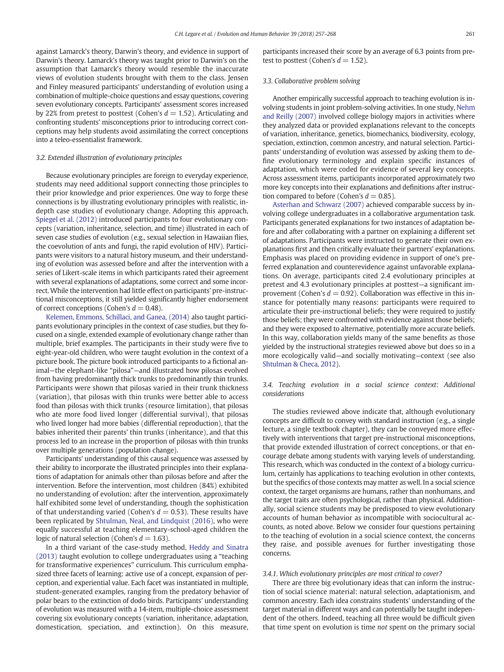against Lamarck's theory, Darwin's theory, and evidence in support of Darwin's theory. Lamarck's theory was taught prior to Darwin's on the assumption that Lamarck's theory would resemble the inaccurate views of evolution students brought with them to the class. Jensen and Finley measured participants' understanding of evolution using a combination of multiple-choice questions and essay questions, covering seven evolutionary concepts. Participants' assessment scores increased by 22% from pretest to posttest (Cohen's  $d = 1.52$ ). Articulating and confronting students' misconceptions prior to introducing correct conceptions may help students avoid assimilating the correct conceptions into a teleo-essentialist framework.

#### 3.2. Extended illustration of evolutionary principles

Because evolutionary principles are foreign to everyday experience, students may need additional support connecting those principles to their prior knowledge and prior experiences. One way to forge these connections is by illustrating evolutionary principles with realistic, indepth case studies of evolutionary change. Adopting this approach, [Spiegel et al. \(2012\)](#page-11-0) introduced participants to four evolutionary concepts (variation, inheritance, selection, and time) illustrated in each of seven case studies of evolution (e.g., sexual selection in Hawaiian flies, the coevolution of ants and fungi, the rapid evolution of HIV). Participants were visitors to a natural history museum, and their understanding of evolution was assessed before and after the intervention with a series of Likert-scale items in which participants rated their agreement with several explanations of adaptations, some correct and some incorrect. While the intervention had little effect on participants' pre-instructional misconceptions, it still yielded significantly higher endorsement of correct conceptions (Cohen's  $d = 0.48$ ).

[Kelemen, Emmons, Schillaci, and Ganea, \(2014\)](#page-11-0) also taught participants evolutionary principles in the context of case studies, but they focused on a single, extended example of evolutionary change rather than multiple, brief examples. The participants in their study were five to eight-year-old children, who were taught evolution in the context of a picture book. The picture book introduced participants to a fictional animal—the elephant-like "pilosa"—and illustrated how pilosas evolved from having predominantly thick trunks to predominantly thin trunks. Participants were shown that pilosas varied in their trunk thickness (variation), that pilosas with thin trunks were better able to access food than pilosas with thick trunks (resource limitation), that pilosas who ate more food lived longer (differential survival), that pilosas who lived longer had more babies (differential reproduction), that the babies inherited their parents' thin trunks (inheritance), and that this process led to an increase in the proportion of pilosas with thin trunks over multiple generations (population change).

Participants' understanding of this causal sequence was assessed by their ability to incorporate the illustrated principles into their explanations of adaptation for animals other than pilosas before and after the intervention. Before the intervention, most children (84%) exhibited no understanding of evolution; after the intervention, approximately half exhibited some level of understanding, though the sophistication of that understanding varied (Cohen's  $d = 0.53$ ). These results have been replicated by [Shtulman, Neal, and Lindquist \(2016\)](#page-11-0), who were equally successful at teaching elementary-school-aged children the logic of natural selection (Cohen's  $d = 1.63$ ).

In a third variant of the case-study method, [Heddy and Sinatra](#page-11-0) [\(2013\)](#page-11-0) taught evolution to college undergraduates using a "teaching for transformative experiences" curriculum. This curriculum emphasized three facets of learning: active use of a concept, expansion of perception, and experiential value. Each facet was instantiated in multiple, student-generated examples, ranging from the predatory behavior of polar bears to the extinction of dodo birds. Participants' understanding of evolution was measured with a 14-item, multiple-choice assessment covering six evolutionary concepts (variation, inheritance, adaptation, domestication, speciation, and extinction). On this measure,

participants increased their score by an average of 6.3 points from pretest to posttest (Cohen's  $d = 1.52$ ).

#### 3.3. Collaborative problem solving

Another empirically successful approach to teaching evolution is involving students in joint problem-solving activities. In one study, [Nehm](#page-11-0) [and Reilly \(2007\)](#page-11-0) involved college biology majors in activities where they analyzed data or provided explanations relevant to the concepts of variation, inheritance, genetics, biomechanics, biodiversity, ecology, speciation, extinction, common ancestry, and natural selection. Participants' understanding of evolution was assessed by asking them to define evolutionary terminology and explain specific instances of adaptation, which were coded for evidence of several key concepts. Across assessment items, participants incorporated approximately two more key concepts into their explanations and definitions after instruction compared to before (Cohen's  $d = 0.85$ ).

[Asterhan and Schwarz \(2007\)](#page-10-0) achieved comparable success by involving college undergraduates in a collaborative argumentation task. Participants generated explanations for two instances of adaptation before and after collaborating with a partner on explaining a different set of adaptations. Participants were instructed to generate their own explanations first and then critically evaluate their partners' explanations. Emphasis was placed on providing evidence in support of one's preferred explanation and counterevidence against unfavorable explanations. On average, participants cited 2.4 evolutionary principles at pretest and 4.3 evolutionary principles at posttest—a significant improvement (Cohen's  $d = 0.92$ ). Collaboration was effective in this instance for potentially many reasons: participants were required to articulate their pre-instructional beliefs; they were required to justify those beliefs; they were confronted with evidence against those beliefs; and they were exposed to alternative, potentially more accurate beliefs. In this way, collaboration yields many of the same benefits as those yielded by the instructional strategies reviewed above but does so in a more ecologically valid—and socially motivating—context (see also [Shtulman & Checa, 2012](#page-11-0)).

3.4. Teaching evolution in a social science context: Additional considerations

The studies reviewed above indicate that, although evolutionary concepts are difficult to convey with standard instruction (e.g., a single lecture, a single textbook chapter), they can be conveyed more effectively with interventions that target pre-instructional misconceptions, that provide extended illustration of correct conceptions, or that encourage debate among students with varying levels of understanding. This research, which was conducted in the context of a biology curriculum, certainly has applications to teaching evolution in other contexts, but the specifics of those contexts may matter as well. In a social science context, the target organisms are humans, rather than nonhumans, and the target traits are often psychological, rather than physical. Additionally, social science students may be predisposed to view evolutionary accounts of human behavior as incompatible with sociocultural accounts, as noted above. Below we consider four questions pertaining to the teaching of evolution in a social science context, the concerns they raise, and possible avenues for further investigating those concerns.

#### 3.4.1. Which evolutionary principles are most critical to cover?

There are three big evolutionary ideas that can inform the instruction of social science material: natural selection, adaptationism, and common ancestry. Each idea constrains students' understanding of the target material in different ways and can potentially be taught independent of the others. Indeed, teaching all three would be difficult given that time spent on evolution is time not spent on the primary social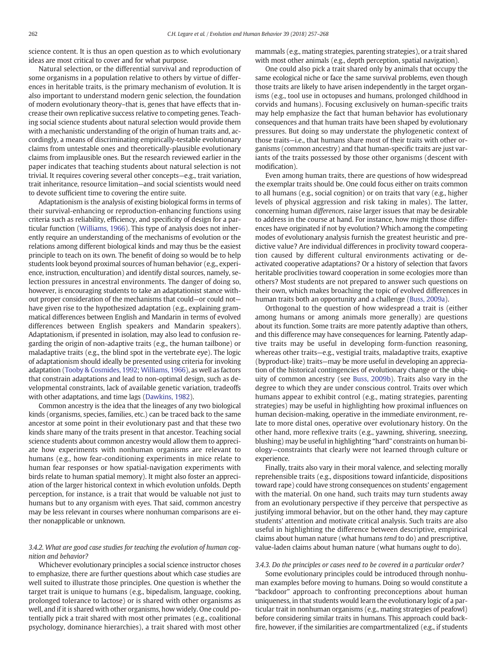science content. It is thus an open question as to which evolutionary ideas are most critical to cover and for what purpose.

Natural selection, or the differential survival and reproduction of some organisms in a population relative to others by virtue of differences in heritable traits, is the primary mechanism of evolution. It is also important to understand modern genic selection, the foundation of modern evolutionary theory–that is, genes that have effects that increase their own replicative success relative to competing genes. Teaching social science students about natural selection would provide them with a mechanistic understanding of the origin of human traits and, accordingly, a means of discriminating empirically-testable evolutionary claims from untestable ones and theoretically-plausible evolutionary claims from implausible ones. But the research reviewed earlier in the paper indicates that teaching students about natural selection is not trivial. It requires covering several other concepts—e.g., trait variation, trait inheritance, resource limitation—and social scientists would need to devote sufficient time to covering the entire suite.

Adaptationism is the analysis of existing biological forms in terms of their survival-enhancing or reproduction-enhancing functions using criteria such as reliability, efficiency, and specificity of design for a particular function [\(Williams, 1966\)](#page-11-0). This type of analysis does not inherently require an understanding of the mechanisms of evolution or the relations among different biological kinds and may thus be the easiest principle to teach on its own. The benefit of doing so would be to help students look beyond proximal sources of human behavior (e.g., experience, instruction, enculturation) and identify distal sources, namely, selection pressures in ancestral environments. The danger of doing so, however, is encouraging students to take an adaptationist stance without proper consideration of the mechanisms that could—or could not have given rise to the hypothesized adaptation (e.g., explaining grammatical differences between English and Mandarin in terms of evolved differences between English speakers and Mandarin speakers). Adaptationism, if presented in isolation, may also lead to confusion regarding the origin of non-adaptive traits (e.g., the human tailbone) or maladaptive traits (e.g., the blind spot in the vertebrate eye). The logic of adaptationism should ideally be presented using criteria for invoking adaptation ([Tooby & Cosmides, 1992](#page-11-0); [Williams, 1966](#page-11-0)), as well as factors that constrain adaptations and lead to non-optimal design, such as developmental constraints, lack of available genetic variation, tradeoffs with other adaptations, and time lags ([Dawkins, 1982](#page-10-0)).

Common ancestry is the idea that the lineages of any two biological kinds (organisms, species, families, etc.) can be traced back to the same ancestor at some point in their evolutionary past and that these two kinds share many of the traits present in that ancestor. Teaching social science students about common ancestry would allow them to appreciate how experiments with nonhuman organisms are relevant to humans (e.g., how fear-conditioning experiments in mice relate to human fear responses or how spatial-navigation experiments with birds relate to human spatial memory). It might also foster an appreciation of the larger historical context in which evolution unfolds. Depth perception, for instance, is a trait that would be valuable not just to humans but to any organism with eyes. That said, common ancestry may be less relevant in courses where nonhuman comparisons are either nonapplicable or unknown.

# 3.4.2. What are good case studies for teaching the evolution of human cognition and behavior?

Whichever evolutionary principles a social science instructor choses to emphasize, there are further questions about which case studies are well suited to illustrate those principles. One question is whether the target trait is unique to humans (e.g., bipedalism, language, cooking, prolonged tolerance to lactose) or is shared with other organisms as well, and if it is shared with other organisms, how widely. One could potentially pick a trait shared with most other primates (e.g., coalitional psychology, dominance hierarchies), a trait shared with most other mammals (e.g., mating strategies, parenting strategies), or a trait shared with most other animals (e.g., depth perception, spatial navigation).

One could also pick a trait shared only by animals that occupy the same ecological niche or face the same survival problems, even though those traits are likely to have arisen independently in the target organisms (e.g., tool use in octopuses and humans, prolonged childhood in corvids and humans). Focusing exclusively on human-specific traits may help emphasize the fact that human behavior has evolutionary consequences and that human traits have been shaped by evolutionary pressures. But doing so may understate the phylogenetic context of those traits—i.e., that humans share most of their traits with other organisms (common ancestry) and that human-specific traits are just variants of the traits possessed by those other organisms (descent with modification).

Even among human traits, there are questions of how widespread the exemplar traits should be. One could focus either on traits common to all humans (e.g., social cognition) or on traits that vary (e.g., higher levels of physical aggression and risk taking in males). The latter, concerning human differences, raise larger issues that may be desirable to address in the course at hand. For instance, how might those differences have originated if not by evolution? Which among the competing modes of evolutionary analysis furnish the greatest heuristic and predictive value? Are individual differences in proclivity toward cooperation caused by different cultural environments activating or deactivated cooperative adaptations? Or a history of selection that favors heritable proclivities toward cooperation in some ecologies more than others? Most students are not prepared to answer such questions on their own, which makes broaching the topic of evolved differences in human traits both an opportunity and a challenge [\(Buss, 2009a\)](#page-10-0).

Orthogonal to the question of how widespread a trait is (either among humans or among animals more generally) are questions about its function. Some traits are more patently adaptive than others, and this difference may have consequences for learning. Patently adaptive traits may be useful in developing form-function reasoning, whereas other traits—e.g., vestigial traits, maladaptive traits, exaptive (byproduct-like) traits—may be more useful in developing an appreciation of the historical contingencies of evolutionary change or the ubiquity of common ancestry (see [Buss, 2009b\)](#page-10-0). Traits also vary in the degree to which they are under conscious control. Traits over which humans appear to exhibit control (e.g., mating strategies, parenting strategies) may be useful in highlighting how proximal influences on human decision-making, operative in the immediate environment, relate to more distal ones, operative over evolutionary history. On the other hand, more reflexive traits (e.g., yawning, shivering, sneezing, blushing) may be useful in highlighting "hard" constraints on human biology—constraints that clearly were not learned through culture or experience.

Finally, traits also vary in their moral valence, and selecting morally reprehensible traits (e.g., dispositions toward infanticide, dispositions toward rape) could have strong consequences on students' engagement with the material. On one hand, such traits may turn students away from an evolutionary perspective if they perceive that perspective as justifying immoral behavior, but on the other hand, they may capture students' attention and motivate critical analysis. Such traits are also useful in highlighting the difference between descriptive, empirical claims about human nature (what humans tend to do) and prescriptive, value-laden claims about human nature (what humans ought to do).

## 3.4.3. Do the principles or cases need to be covered in a particular order?

Some evolutionary principles could be introduced through nonhuman examples before moving to humans. Doing so would constitute a "backdoor" approach to confronting preconceptions about human uniqueness, in that students would learn the evolutionary logic of a particular trait in nonhuman organisms (e.g., mating strategies of peafowl) before considering similar traits in humans. This approach could backfire, however, if the similarities are compartmentalized (e.g., if students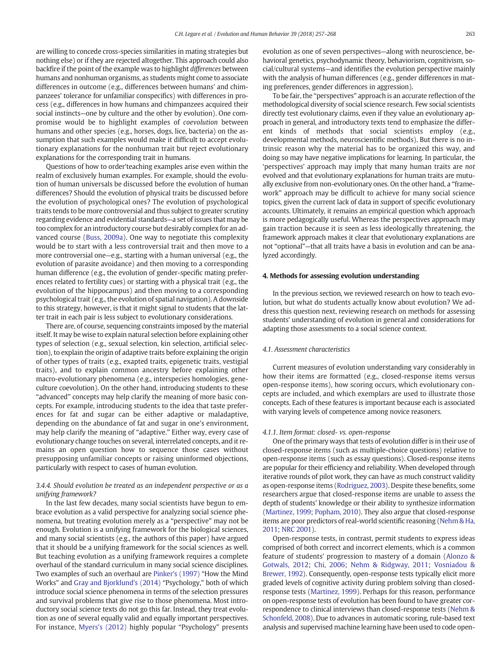are willing to concede cross-species similarities in mating strategies but nothing else) or if they are rejected altogether. This approach could also backfire if the point of the example was to highlight differences between humans and nonhuman organisms, as students might come to associate differences in outcome (e.g., differences between humans' and chimpanzees' tolerance for unfamiliar conspecifics) with differences in process (e.g., differences in how humans and chimpanzees acquired their social instincts—one by culture and the other by evolution). One compromise would be to highlight examples of coevolution between humans and other species (e.g., horses, dogs, lice, bacteria) on the assumption that such examples would make it difficult to accept evolutionary explanations for the nonhuman trait but reject evolutionary explanations for the corresponding trait in humans.

Questions of how to order'teaching examples arise even within the realm of exclusively human examples. For example, should the evolution of human universals be discussed before the evolution of human differences? Should the evolution of physical traits be discussed before the evolution of psychological ones? The evolution of psychological traits tends to be more controversial and thus subject to greater scrutiny regarding evidence and evidential standards—a set of issues that may be too complex for an introductory course but desirably complex for an advanced course ([Buss, 2009a](#page-10-0)). One way to negotiate this complexity would be to start with a less controversial trait and then move to a more controversial one—e.g., starting with a human universal (e.g., the evolution of parasite avoidance) and then moving to a corresponding human difference (e.g., the evolution of gender-specific mating preferences related to fertility cues) or starting with a physical trait (e.g., the evolution of the hippocampus) and then moving to a corresponding psychological trait (e.g., the evolution of spatial navigation). A downside to this strategy, however, is that it might signal to students that the latter trait in each pair is less subject to evolutionary considerations.

There are, of course, sequencing constraints imposed by the material itself. It may be wise to explain natural selection before explaining other types of selection (e.g., sexual selection, kin selection, artificial selection), to explain the origin of adaptive traits before explaining the origin of other types of traits (e.g., exapted traits, epigenetic traits, vestigial traits), and to explain common ancestry before explaining other macro-evolutionary phenomena (e.g., interspecies homologies, geneculture coevolution). On the other hand, introducing students to these "advanced" concepts may help clarify the meaning of more basic concepts. For example, introducing students to the idea that taste preferences for fat and sugar can be either adaptive or maladaptive, depending on the abundance of fat and sugar in one's environment, may help clarify the meaning of "adaptive." Either way, every case of evolutionary change touches on several, interrelated concepts, and it remains an open question how to sequence those cases without presupposing unfamiliar concepts or raising uninformed objections, particularly with respect to cases of human evolution.

# 3.4.4. Should evolution be treated as an independent perspective or as a unifying framework?

In the last few decades, many social scientists have begun to embrace evolution as a valid perspective for analyzing social science phenomena, but treating evolution merely as a "perspective" may not be enough. Evolution is a unifying framework for the biological sciences, and many social scientists (e.g., the authors of this paper) have argued that it should be a unifying framework for the social sciences as well. But teaching evolution as a unifying framework requires a complete overhaul of the standard curriculum in many social science disciplines. Two examples of such an overhaul are [Pinker's \(1997\)](#page-11-0) "How the Mind Works" and [Gray and Bjorklund's \(2014\)](#page-10-0) "Psychology," both of which introduce social science phenomena in terms of the selection pressures and survival problems that give rise to those phenomena. Most introductory social science texts do not go this far. Instead, they treat evolution as one of several equally valid and equally important perspectives. For instance, [Myers's \(2012\)](#page-11-0) highly popular "Psychology" presents evolution as one of seven perspectives—along with neuroscience, behavioral genetics, psychodynamic theory, behaviorism, cognitivism, social/cultural systems—and identifies the evolution perspective mainly with the analysis of human differences (e.g., gender differences in mating preferences, gender differences in aggression).

To be fair, the "perspectives" approach is an accurate reflection of the methodological diversity of social science research. Few social scientists directly test evolutionary claims, even if they value an evolutionary approach in general, and introductory texts tend to emphasize the different kinds of methods that social scientists employ (e.g., developmental methods, neuroscientific methods). But there is no intrinsic reason why the material has to be organized this way, and doing so may have negative implications for learning. In particular, the 'perspectives' approach may imply that many human traits are not evolved and that evolutionary explanations for human traits are mutually exclusive from non-evolutionary ones. On the other hand, a "framework" approach may be difficult to achieve for many social science topics, given the current lack of data in support of specific evolutionary accounts. Ultimately, it remains an empirical question which approach is more pedagogically useful. Whereas the perspectives approach may gain traction because it is seen as less ideologically threatening, the framework approach makes it clear that evolutionary explanations are not "optional"—that all traits have a basis in evolution and can be analyzed accordingly.

## 4. Methods for assessing evolution understanding

In the previous section, we reviewed research on how to teach evolution, but what do students actually know about evolution? We address this question next, reviewing research on methods for assessing students' understanding of evolution in general and considerations for adapting those assessments to a social science context.

#### 4.1. Assessment characteristics

Current measures of evolution understanding vary considerably in how their items are formatted (e.g., closed-response items versus open-response items), how scoring occurs, which evolutionary concepts are included, and which exemplars are used to illustrate those concepts. Each of these features is important because each is associated with varying levels of competence among novice reasoners.

#### 4.1.1. Item format: closed- vs. open-response

One of the primary ways that tests of evolution differ is in their use of closed-response items (such as multiple-choice questions) relative to open-response items (such as essay questions). Closed-response items are popular for their efficiency and reliability. When developed through iterative rounds of pilot work, they can have as much construct validity as open-response items [\(Rodriguez, 2003](#page-11-0)). Despite these benefits, some researchers argue that closed-response items are unable to assess the depth of students' knowledge or their ability to synthesize information [\(Martinez, 1999;](#page-11-0) [Popham, 2010](#page-11-0)). They also argue that closed-response items are poor predictors of real-world scientific reasoning [\(Nehm & Ha,](#page-11-0) [2011](#page-11-0); [NRC 2001](#page-11-0)).

Open-response tests, in contrast, permit students to express ideas comprised of both correct and incorrect elements, which is a common feature of students' progression to mastery of a domain ([Alonzo &](#page-10-0) [Gotwals, 2012;](#page-10-0) [Chi, 2006;](#page-10-0) [Nehm & Ridgway, 2011](#page-11-0); [Vosniadou &](#page-11-0) [Brewer, 1992\)](#page-11-0). Consequently, open-response tests typically elicit more graded levels of cognitive activity during problem solving than closedresponse tests [\(Martinez, 1999\)](#page-11-0). Perhaps for this reason, performance on open-response tests of evolution has been found to have greater correspondence to clinical interviews than closed-response tests [\(Nehm &](#page-11-0) [Schonfeld, 2008\)](#page-11-0). Due to advances in automatic scoring, rule-based text analysis and supervised machine learning have been used to code open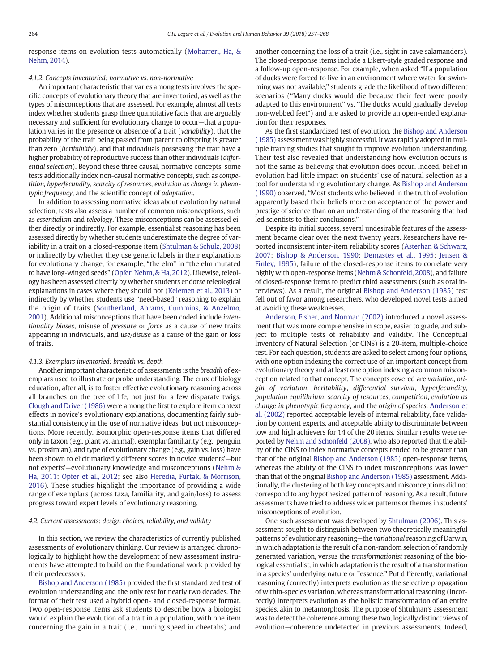response items on evolution tests automatically ([Moharreri, Ha, &](#page-11-0) [Nehm, 2014](#page-11-0)).

## 4.1.2. Concepts inventoried: normative vs. non-normative

An important characteristic that varies among tests involves the specific concepts of evolutionary theory that are inventoried, as well as the types of misconceptions that are assessed. For example, almost all tests index whether students grasp three quantitative facts that are arguably necessary and sufficient for evolutionary change to occur—that a population varies in the presence or absence of a trait (variability), that the probability of the trait being passed from parent to offspring is greater than zero (heritability), and that individuals possessing the trait have a higher probability of reproductive success than other individuals (differential selection). Beyond these three causal, normative concepts, some tests additionally index non-causal normative concepts, such as competition, hyperfecundity, scarcity of resources, evolution as change in phenotypic frequency, and the scientific concept of adaptation.

In addition to assessing normative ideas about evolution by natural selection, tests also assess a number of common misconceptions, such as essentialism and teleology. These misconceptions can be assessed either directly or indirectly. For example, essentialist reasoning has been assessed directly by whether students underestimate the degree of variability in a trait on a closed-response item [\(Shtulman & Schulz, 2008](#page-11-0)) or indirectly by whether they use generic labels in their explanations for evolutionary change, for example, "the elm" in "the elm mutated to have long-winged seeds" [\(Opfer, Nehm, & Ha, 2012](#page-11-0)). Likewise, teleology has been assessed directly by whether students endorse teleological explanations in cases where they should not ([Kelemen et al., 2013\)](#page-11-0) or indirectly by whether students use "need-based" reasoning to explain the origin of traits [\(Southerland, Abrams, Cummins, & Anzelmo,](#page-11-0) [2001\)](#page-11-0). Additional misconceptions that have been coded include intentionality biases, misuse of pressure or force as a cause of new traits appearing in individuals, and use/disuse as a cause of the gain or loss of traits.

#### 4.1.3. Exemplars inventoried: breadth vs. depth

Another important characteristic of assessments is the breadth of exemplars used to illustrate or probe understanding. The crux of biology education, after all, is to foster effective evolutionary reasoning across all branches on the tree of life, not just for a few disparate twigs. [Clough and Driver \(1986\)](#page-10-0) were among the first to explore item context effects in novice's evolutionary explanations, documenting fairly substantial consistency in the use of normative ideas, but not misconceptions. More recently, isomorphic open-response items that differed only in taxon (e.g., plant vs. animal), exemplar familiarity (e.g., penguin vs. prosimian), and type of evolutionary change (e.g., gain vs. loss) have been shown to elicit markedly different scores in novice students'—but not experts'—evolutionary knowledge and misconceptions ([Nehm &](#page-11-0) [Ha, 2011](#page-11-0); [Opfer et al., 2012](#page-11-0); see also [Heredia, Furtak, & Morrison,](#page-11-0) [2016](#page-11-0)). These studies highlight the importance of providing a wide range of exemplars (across taxa, familiarity, and gain/loss) to assess progress toward expert levels of evolutionary reasoning.

#### 4.2. Current assessments: design choices, reliability, and validity

In this section, we review the characteristics of currently published assessments of evolutionary thinking. Our review is arranged chronologically to highlight how the development of new assessment instruments have attempted to build on the foundational work provided by their predecessors.

[Bishop and Anderson \(1985\)](#page-10-0) provided the first standardized test of evolution understanding and the only test for nearly two decades. The format of their test used a hybrid open- and closed-response format. Two open-response items ask students to describe how a biologist would explain the evolution of a trait in a population, with one item concerning the gain in a trait (i.e., running speed in cheetahs) and

another concerning the loss of a trait (i.e., sight in cave salamanders). The closed-response items include a Likert-style graded response and a follow-up open-response. For example, when asked "If a population of ducks were forced to live in an environment where water for swimming was not available," students grade the likelihood of two different scenarios ("Many ducks would die because their feet were poorly adapted to this environment" vs. "The ducks would gradually develop non-webbed feet") and are asked to provide an open-ended explanation for their responses.

As the first standardized test of evolution, the [Bishop and Anderson](#page-10-0) [\(1985\)](#page-10-0) assessment was highly successful. It was rapidly adopted in multiple training studies that sought to improve evolution understanding. Their test also revealed that understanding how evolution occurs is not the same as believing that evolution does occur. Indeed, belief in evolution had little impact on students' use of natural selection as a tool for understanding evolutionary change. As [Bishop and Anderson](#page-10-0) [\(1990\)](#page-10-0) observed, "Most students who believed in the truth of evolution apparently based their beliefs more on acceptance of the power and prestige of science than on an understanding of the reasoning that had led scientists to their conclusions."

Despite its initial success, several undesirable features of the assessment became clear over the next twenty years. Researchers have reported inconsistent inter-item reliability scores [\(Asterhan & Schwarz,](#page-10-0) [2007](#page-10-0); [Bishop & Anderson, 1990;](#page-10-0) [Demastes et al., 1995;](#page-10-0) [Jensen &](#page-11-0) [Finley, 1995\)](#page-11-0), failure of the closed-response items to correlate very highly with open-response items [\(Nehm & Schonfeld, 2008](#page-11-0)), and failure of closed-response items to predict third assessments (such as oral interviews). As a result, the original [Bishop and Anderson \(1985\)](#page-10-0) test fell out of favor among researchers, who developed novel tests aimed at avoiding these weaknesses.

[Anderson, Fisher, and Norman \(2002\)](#page-10-0) introduced a novel assessment that was more comprehensive in scope, easier to grade, and subject to multiple tests of reliability and validity. The Conceptual Inventory of Natural Selection (or CINS) is a 20-item, multiple-choice test. For each question, students are asked to select among four options, with one option indexing the correct use of an important concept from evolutionary theory and at least one option indexing a common misconception related to that concept. The concepts covered are variation, origin of variation, heritability, differential survival, hyperfecundity, population equilibrium, scarcity of resources, competition, evolution as change in phenotypic frequency, and the origin of species. [Anderson et](#page-10-0) [al. \(2002\)](#page-10-0) reported acceptable levels of internal reliability, face validation by content experts, and acceptable ability to discriminate between low and high achievers for 14 of the 20 items. Similar results were reported by [Nehm and Schonfeld \(2008\),](#page-11-0) who also reported that the ability of the CINS to index normative concepts tended to be greater than that of the original [Bishop and Anderson \(1985\)](#page-10-0) open-response items, whereas the ability of the CINS to index misconceptions was lower than that of the original [Bishop and Anderson \(1985\)](#page-10-0) assessment. Additionally, the clustering of both key concepts and misconceptions did not correspond to any hypothesized pattern of reasoning. As a result, future assessments have tried to address wider patterns or themes in students' misconceptions of evolution.

One such assessment was developed by [Shtulman \(2006\)](#page-11-0). This assessment sought to distinguish between two theoretically meaningful patterns of evolutionary reasoning—the variational reasoning of Darwin, in which adaptation is the result of a non-random selection of randomly generated variation, versus the transformationist reasoning of the biological essentialist, in which adaptation is the result of a transformation in a species' underlying nature or "essence." Put differently, variational reasoning (correctly) interprets evolution as the selective propagation of within-species variation, whereas transformational reasoning (incorrectly) interprets evolution as the holistic transformation of an entire species, akin to metamorphosis. The purpose of Shtulman's assessment was to detect the coherence among these two, logically distinct views of evolution—coherence undetected in previous assessments. Indeed,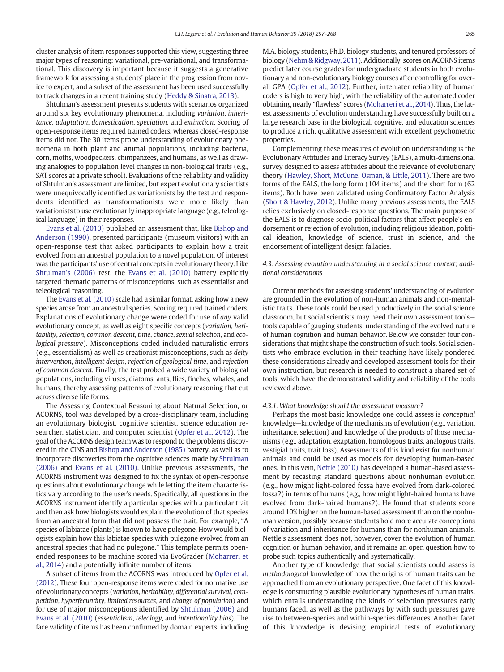cluster analysis of item responses supported this view, suggesting three major types of reasoning: variational, pre-variational, and transformational. This discovery is important because it suggests a generative framework for assessing a students' place in the progression from novice to expert, and a subset of the assessment has been used successfully to track changes in a recent training study ([Heddy & Sinatra, 2013\)](#page-11-0).

Shtulman's assessment presents students with scenarios organized around six key evolutionary phenomena, including variation, inheritance, adaptation, domestication, speciation, and extinction. Scoring of open-response items required trained coders, whereas closed-response items did not. The 30 items probe understanding of evolutionary phenomena in both plant and animal populations, including bacteria, corn, moths, woodpeckers, chimpanzees, and humans, as well as drawing analogies to population level changes in non-biological traits (e.g., SAT scores at a private school). Evaluations of the reliability and validity of Shtulman's assessment are limited, but expert evolutionary scientists were unequivocally identified as variationists by the test and respondents identified as transformationists were more likely than variationists to use evolutionarily inappropriate language (e.g., teleological language) in their responses.

[Evans et al. \(2010\)](#page-10-0) published an assessment that, like [Bishop and](#page-10-0) [Anderson \(1990\),](#page-10-0) presented participants (museum visitors) with an open-response test that asked participants to explain how a trait evolved from an ancestral population to a novel population. Of interest was the participants' use of central concepts in evolutionary theory. Like [Shtulman's \(2006\)](#page-11-0) test, the [Evans et al. \(2010\)](#page-10-0) battery explicitly targeted thematic patterns of misconceptions, such as essentialist and teleological reasoning.

The [Evans et al. \(2010\)](#page-10-0) scale had a similar format, asking how a new species arose from an ancestral species. Scoring required trained coders. Explanations of evolutionary change were coded for use of any valid evolutionary concept, as well as eight specific concepts (variation, heritability, selection, common descent, time, chance, sexual selection, and ecological pressure). Misconceptions coded included naturalistic errors (e.g., essentialism) as well as creationist misconceptions, such as deity intervention, intelligent design, rejection of geological time, and rejection of common descent. Finally, the test probed a wide variety of biological populations, including viruses, diatoms, ants, flies, finches, whales, and humans, thereby assessing patterns of evolutionary reasoning that cut across diverse life forms.

The Assessing Contextual Reasoning about Natural Selection, or ACORNS, tool was developed by a cross-disciplinary team, including an evolutionary biologist, cognitive scientist, science education researcher, statistician, and computer scientist [\(Opfer et al., 2012\)](#page-11-0). The goal of the ACORNS design team was to respond to the problems discovered in the CINS and [Bishop and Anderson \(1985\)](#page-10-0) battery, as well as to incorporate discoveries from the cognitive sciences made by [Shtulman](#page-11-0) [\(2006\)](#page-11-0) and [Evans et al. \(2010\)](#page-10-0). Unlike previous assessments, the ACORNS instrument was designed to fix the syntax of open-response questions about evolutionary change while letting the item characteristics vary according to the user's needs. Specifically, all questions in the ACORNS instrument identify a particular species with a particular trait and then ask how biologists would explain the evolution of that species from an ancestral form that did not possess the trait. For example, "A species of labiatae (plants) is known to have pulegone. How would biologists explain how this labiatae species with pulegone evolved from an ancestral species that had no pulegone." This template permits openended responses to be machine scored via EvoGrader ([Moharreri et](#page-11-0) [al., 2014](#page-11-0)) and a potentially infinite number of items.

A subset of items from the ACORNS was introduced by [Opfer et al.](#page-11-0) [\(2012\)](#page-11-0). These four open-response items were coded for normative use of evolutionary concepts (variation, heritability, differential survival, competition, hyperfecundity, limited resources, and change of population) and for use of major misconceptions identified by [Shtulman \(2006\)](#page-11-0) and [Evans et al. \(2010\)](#page-10-0) (essentialism, teleology, and intentionality bias). The face validity of items has been confirmed by domain experts, including M.A. biology students, Ph.D. biology students, and tenured professors of biology ([Nehm & Ridgway, 2011](#page-11-0)). Additionally, scores on ACORNS items predict later course grades for undergraduate students in both evolutionary and non-evolutionary biology courses after controlling for overall GPA ([Opfer et al., 2012\)](#page-11-0). Further, interrater reliability of human coders is high to very high, with the reliability of the automated coder obtaining nearly "flawless" scores ([Moharreri et al., 2014\)](#page-11-0). Thus, the latest assessments of evolution understanding have successfully built on a large research base in the biological, cognitive, and education sciences to produce a rich, qualitative assessment with excellent psychometric properties.

Complementing these measures of evolution understanding is the Evolutionary Attitudes and Literacy Survey (EALS), a multi-dimensional survey designed to assess attitudes about the relevance of evolutionary theory ([Hawley, Short, McCune, Osman, & Little, 2011](#page-10-0)). There are two forms of the EALS, the long form (104 items) and the short form (62 items). Both have been validated using Confirmatory Factor Analysis [\(Short & Hawley, 2012\)](#page-11-0). Unlike many previous assessments, the EALS relies exclusively on closed-response questions. The main purpose of the EALS is to diagnose socio-political factors that affect people's endorsement or rejection of evolution, including religious ideation, political ideation, knowledge of science, trust in science, and the endorsement of intelligent design fallacies.

# 4.3. Assessing evolution understanding in a social science context; additional considerations

Current methods for assessing students' understanding of evolution are grounded in the evolution of non-human animals and non-mentalistic traits. These tools could be used productively in the social science classroom, but social scientists may need their own assessment tools tools capable of gauging students' understanding of the evolved nature of human cognition and human behavior. Below we consider four considerations that might shape the construction of such tools. Social scientists who embrace evolution in their teaching have likely pondered these considerations already and developed assessment tools for their own instruction, but research is needed to construct a shared set of tools, which have the demonstrated validity and reliability of the tools reviewed above.

#### 4.3.1. What knowledge should the assessment measure?

Perhaps the most basic knowledge one could assess is conceptual knowledge—knowledge of the mechanisms of evolution (e.g., variation, inheritance, selection) and knowledge of the products of those mechanisms (e.g., adaptation, exaptation, homologous traits, analogous traits, vestigial traits, trait loss). Assessments of this kind exist for nonhuman animals and could be used as models for developing human-based ones. In this vein, [Nettle \(2010\)](#page-11-0) has developed a human-based assessment by recasting standard questions about nonhuman evolution (e.g., how might light-colored fossa have evolved from dark-colored fossa?) in terms of humans (e.g., how might light-haired humans have evolved from dark-haired humans?). He found that students score around 10% higher on the human-based assessment than on the nonhuman version, possibly because students hold more accurate conceptions of variation and inheritance for humans than for nonhuman animals. Nettle's assessment does not, however, cover the evolution of human cognition or human behavior, and it remains an open question how to probe such topics authentically and systematically.

Another type of knowledge that social scientists could assess is methodological knowledge of how the origins of human traits can be approached from an evolutionary perspective. One facet of this knowledge is constructing plausible evolutionary hypotheses of human traits, which entails understanding the kinds of selection pressures early humans faced, as well as the pathways by with such pressures gave rise to between-species and within-species differences. Another facet of this knowledge is devising empirical tests of evolutionary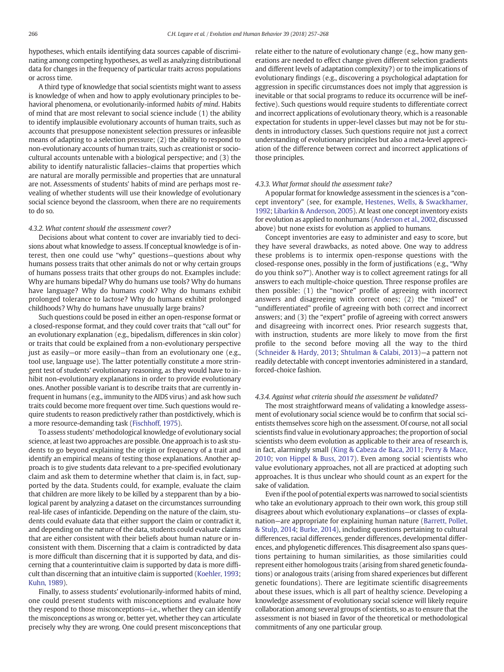hypotheses, which entails identifying data sources capable of discriminating among competing hypotheses, as well as analyzing distributional data for changes in the frequency of particular traits across populations or across time.

A third type of knowledge that social scientists might want to assess is knowledge of when and how to apply evolutionary principles to behavioral phenomena, or evolutionarily-informed habits of mind. Habits of mind that are most relevant to social science include (1) the ability to identify implausible evolutionary accounts of human traits, such as accounts that presuppose nonexistent selection pressures or infeasible means of adapting to a selection pressure; (2) the ability to respond to non-evolutionary accounts of human traits, such as creationist or sociocultural accounts untenable with a biological perspective; and (3) the ability to identify naturalistic fallacies–claims that properties which are natural are morally permissible and properties that are unnatural are not. Assessments of students' habits of mind are perhaps most revealing of whether students will use their knowledge of evolutionary social science beyond the classroom, when there are no requirements to do so.

#### 4.3.2. What content should the assessment cover?

Decisions about what content to cover are invariably tied to decisions about what knowledge to assess. If conceptual knowledge is of interest, then one could use "why" questions—questions about why humans possess traits that other animals do not or why certain groups of humans possess traits that other groups do not. Examples include: Why are humans bipedal? Why do humans use tools? Why do humans have language? Why do humans cook? Why do humans exhibit prolonged tolerance to lactose? Why do humans exhibit prolonged childhoods? Why do humans have unusually large brains?

Such questions could be posed in either an open-response format or a closed-response format, and they could cover traits that "call out" for an evolutionary explanation (e.g., bipedalism, differences in skin color) or traits that could be explained from a non-evolutionary perspective just as easily—or more easily—than from an evolutionary one (e.g., tool use, language use). The latter potentially constitute a more stringent test of students' evolutionary reasoning, as they would have to inhibit non-evolutionary explanations in order to provide evolutionary ones. Another possible variant is to describe traits that are currently infrequent in humans (e.g., immunity to the AIDS virus) and ask how such traits could become more frequent over time. Such questions would require students to reason predictively rather than postdictively, which is a more resource-demanding task ([Fischhoff, 1975](#page-10-0)).

To assess students' methodological knowledge of evolutionary social science, at least two approaches are possible. One approach is to ask students to go beyond explaining the origin or frequency of a trait and identify an empirical means of testing those explanations. Another approach is to give students data relevant to a pre-specified evolutionary claim and ask them to determine whether that claim is, in fact, supported by the data. Students could, for example, evaluate the claim that children are more likely to be killed by a stepparent than by a biological parent by analyzing a dataset on the circumstances surrounding real-life cases of infanticide. Depending on the nature of the claim, students could evaluate data that either support the claim or contradict it, and depending on the nature of the data, students could evaluate claims that are either consistent with their beliefs about human nature or inconsistent with them. Discerning that a claim is contradicted by data is more difficult than discerning that it is supported by data, and discerning that a counterintuitive claim is supported by data is more difficult than discerning that an intuitive claim is supported [\(Koehler, 1993](#page-11-0); [Kuhn, 1989](#page-11-0)).

Finally, to assess students' evolutionarily-informed habits of mind, one could present students with misconceptions and evaluate how they respond to those misconceptions—i.e., whether they can identify the misconceptions as wrong or, better yet, whether they can articulate precisely why they are wrong. One could present misconceptions that relate either to the nature of evolutionary change (e.g., how many generations are needed to effect change given different selection gradients and different levels of adaptation complexity?) or to the implications of evolutionary findings (e.g., discovering a psychological adaptation for aggression in specific circumstances does not imply that aggression is inevitable or that social programs to reduce its occurrence will be ineffective). Such questions would require students to differentiate correct and incorrect applications of evolutionary theory, which is a reasonable expectation for students in upper-level classes but may not be for students in introductory classes. Such questions require not just a correct understanding of evolutionary principles but also a meta-level appreciation of the difference between correct and incorrect applications of those principles.

#### 4.3.3. What format should the assessment take?

A popular format for knowledge assessment in the sciences is a "concept inventory" (see, for example, [Hestenes, Wells, & Swackhamer,](#page-11-0) [1992;](#page-11-0) [Libarkin & Anderson, 2005](#page-11-0)). At least one concept inventory exists for evolution as applied to nonhumans [\(Anderson et al., 2002](#page-10-0), discussed above) but none exists for evolution as applied to humans.

Concept inventories are easy to administer and easy to score, but they have several drawbacks, as noted above. One way to address these problems is to intermix open-response questions with the closed-response ones, possibly in the form of justifications (e.g., "Why do you think so?"). Another way is to collect agreement ratings for all answers to each multiple-choice question. Three response profiles are then possible: (1) the "novice" profile of agreeing with incorrect answers and disagreeing with correct ones; (2) the "mixed" or "undifferentiated" profile of agreeing with both correct and incorrect answers; and (3) the "expert" profile of agreeing with correct answers and disagreeing with incorrect ones. Prior research suggests that, with instruction, students are more likely to move from the first profile to the second before moving all the way to the third [\(Schneider & Hardy, 2013;](#page-11-0) [Shtulman & Calabi, 2013](#page-11-0))—a pattern not readily detectable with concept inventories administered in a standard, forced-choice fashion.

#### 4.3.4. Against what criteria should the assessment be validated?

The most straightforward means of validating a knowledge assessment of evolutionary social science would be to confirm that social scientists themselves score high on the assessment. Of course, not all social scientists find value in evolutionary approaches; the proportion of social scientists who deem evolution as applicable to their area of research is, in fact, alarmingly small [\(King & Cabeza de Baca, 2011;](#page-11-0) [Perry & Mace,](#page-11-0) [2010](#page-11-0); [von Hippel & Buss, 2017](#page-11-0)). Even among social scientists who value evolutionary approaches, not all are practiced at adopting such approaches. It is thus unclear who should count as an expert for the sake of validation.

Even if the pool of potential experts was narrowed to social scientists who take an evolutionary approach to their own work, this group still disagrees about which evolutionary explanations—or classes of explanation—are appropriate for explaining human nature ([Barrett, Pollet,](#page-10-0) [& Stulp, 2014;](#page-10-0) [Burke, 2014](#page-10-0)), including questions pertaining to cultural differences, racial differences, gender differences, developmental differences, and phylogenetic differences. This disagreement also spans questions pertaining to human similarities, as those similarities could represent either homologous traits (arising from shared genetic foundations) or analogous traits (arising from shared experiences but different genetic foundations). There are legitimate scientific disagreements about these issues, which is all part of healthy science. Developing a knowledge assessment of evolutionary social science will likely require collaboration among several groups of scientists, so as to ensure that the assessment is not biased in favor of the theoretical or methodological commitments of any one particular group.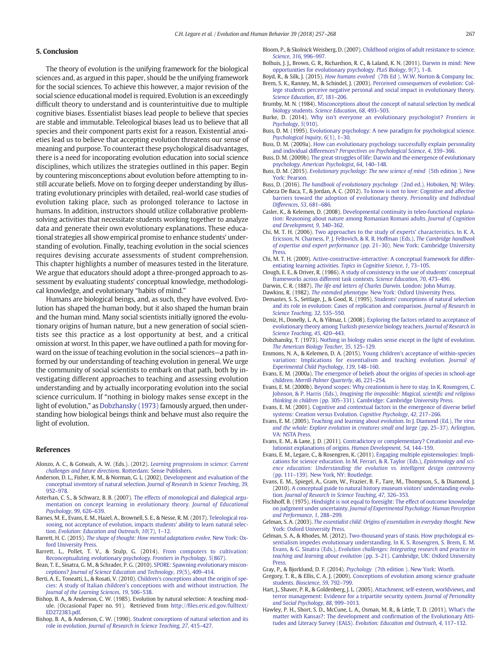#### <span id="page-10-0"></span>5. Conclusion

The theory of evolution is the unifying framework for the biological sciences and, as argued in this paper, should be the unifying framework for the social sciences. To achieve this however, a major revision of the social science educational model is required. Evolution is an exceedingly difficult theory to understand and is counterintuitive due to multiple cognitive biases. Essentialist biases lead people to believe that species are stable and immutable. Teleological biases lead us to believe that all species and their component parts exist for a reason. Existential anxieties lead us to believe that accepting evolution threatens our sense of meaning and purpose. To counteract these psychological disadvantages, there is a need for incoporating evolution education into social science disciplines, which utilizes the strategies outlined in this paper. Begin by countering misconceptions about evolution before attempting to instill accurate beliefs. Move on to forging deeper understanding by illustrating evolutionary principles with detailed, real-world case studies of evolution taking place, such as prolonged tolerance to lactose in humans. In addition, instructors should utilize collaborative problemsolving activities that necessitate students working together to analyze data and generate their own evolutionary explanations. These educational strategies all show empirical promise to enhance students' understanding of evolution. Finally, teaching evolution in the social sciences requires devising accurate assessments of student comprehension. This chapter highlights a number of measures tested in the literature. We argue that educators should adopt a three-pronged approach to assessment by evaluating students' conceptual knowledge, methodological knowledge, and evolutionary "habits of mind."

Humans are biological beings, and, as such, they have evolved. Evolution has shaped the human body, but it also shaped the human brain and the human mind. Many social scientists initially ignored the evolutionary origins of human nature, but a new generation of social scientists see this practice as a lost opportunity at best, and a critical omission at worst. In this paper, we have outlined a path for moving forward on the issue of teaching evolution in the social sciences—a path informed by our understanding of teaching evolution in general. We urge the community of social scientists to embark on that path, both by investigating different approaches to teaching and assessing evolution understanding and by actually incorporating evolution into the social science curriculum. If "nothing in biology makes sense except in the light of evolution," as Dobzhansky (1973) famously argued, then understanding how biological beings think and behave must also require the light of evolution.

#### References

- Alonzo, A. C., & Gotwals, A. W. (Eds.). (2012). [Learning progressions in science: Current](http://refhub.elsevier.com/S1090-5138(17)30019-3/rf0005) [challenges and future directions](http://refhub.elsevier.com/S1090-5138(17)30019-3/rf0005). Rotterdam: Sense Publishers.
- Anderson, D. L., Fisher, K. M., & Norman, G. L. (2002). [Development and evaluation of the](http://refhub.elsevier.com/S1090-5138(17)30019-3/rf0010) [conceptual inventory of natural selection.](http://refhub.elsevier.com/S1090-5138(17)30019-3/rf0010) Journal of Research in Science Teaching, 39, 952–[978.](http://refhub.elsevier.com/S1090-5138(17)30019-3/rf0010)
- Asterhan, C. S., & Schwarz, B. B. (2007). [The effects of monological and dialogical argu](http://refhub.elsevier.com/S1090-5138(17)30019-3/rf0015)[mentation on concept learning in evolutionary theory.](http://refhub.elsevier.com/S1090-5138(17)30019-3/rf0015) Journal of Educational [Psychology](http://refhub.elsevier.com/S1090-5138(17)30019-3/rf0015), 99, 626–639.
- Barnes, M. E., Evans, E. M., Hazel, A., Brownell, S. E., & Nesse, R. M. (2017). [Teleological rea](http://refhub.elsevier.com/S1090-5138(17)30019-3/rf0025)[soning, not acceptance of evolution, impacts students' ability to learn natural selec](http://refhub.elsevier.com/S1090-5138(17)30019-3/rf0025)tion. [Evolution: Education and Outreach](http://refhub.elsevier.com/S1090-5138(17)30019-3/rf0025), 10(7), 1–12.
- Barrett, H. C. (2015). [The shape of thought: How mental adaptations evolve.](http://refhub.elsevier.com/S1090-5138(17)30019-3/rf0030) New York: Ox[ford University Press.](http://refhub.elsevier.com/S1090-5138(17)30019-3/rf0030)
- Barrett, L., Pollet, T. V., & Stulp, G. (2014). [From computers to cultivation:](http://refhub.elsevier.com/S1090-5138(17)30019-3/rf0035) [Reconceptualizing evolutionary psychology.](http://refhub.elsevier.com/S1090-5138(17)30019-3/rf0035) Frontiers in Psychology, 5(867).
- Bean, T. E., Sinatra, G. M., & Schrader, P. G. (2010). [SPORE: Spawning evolutionary miscon](http://refhub.elsevier.com/S1090-5138(17)30019-3/rf0040)ceptions? [Journal of Science Education and Technology](http://refhub.elsevier.com/S1090-5138(17)30019-3/rf0040), 19(5), 409–414.
- Berti, A. E., Toneatti, L., & Rosati, V. (2010). [Children's conceptions about the origin of spe](http://refhub.elsevier.com/S1090-5138(17)30019-3/rf0050)[cies: A study of Italian children's conceptions with and without instruction.](http://refhub.elsevier.com/S1090-5138(17)30019-3/rf0050) The [Journal of the Learning Sciences](http://refhub.elsevier.com/S1090-5138(17)30019-3/rf0050), 19, 506–538.
- Bishop, B. A., & Anderson, C. W. (1985). Evolution by natural selection: A teaching module. (Occasional Paper no. 91). Retrieved from http://fi[les.eric.ed.gov/fulltext/](http://files.eric.ed.gov/fulltext/ED272383.pdf) [ED272383.pdf](http://files.eric.ed.gov/fulltext/ED272383.pdf).
- Bishop, B. A., & Anderson, C. W. (1990). [Student conceptions of natural selection and its](http://refhub.elsevier.com/S1090-5138(17)30019-3/rf0060) role in evolution. [Journal of Research in Science Teaching](http://refhub.elsevier.com/S1090-5138(17)30019-3/rf0060), 27, 415–427.

Bloom, P., & Skolnick Weisberg, D. (2007). [Childhood origins of adult resistance to science.](http://refhub.elsevier.com/S1090-5138(17)30019-3/rf0065) [Science](http://refhub.elsevier.com/S1090-5138(17)30019-3/rf0065), 316, 996–997.

- Bolhuis, J. J., Brown, G. R., Richardson, R. C., & Laland, K. N. (2011). [Darwin in mind: New](http://refhub.elsevier.com/S1090-5138(17)30019-3/rf0070) [opportunities for evolutionary psychology.](http://refhub.elsevier.com/S1090-5138(17)30019-3/rf0070) PLoS Biology, 9(7), 1–8.
- Boyd, R., & Silk, J. (2015). How humans evolved [\(7th Ed \). W.W. Norton & Company Inc.](http://refhub.elsevier.com/S1090-5138(17)30019-3/rf0080) Brem, S. K., Ranney, M., & Schindel, J. (2003). [Perceived consequences of evolution: Col](http://refhub.elsevier.com/S1090-5138(17)30019-3/rf0085)[lege students perceive negative personal and social impact in evolutionary theory.](http://refhub.elsevier.com/S1090-5138(17)30019-3/rf0085) [Science Education](http://refhub.elsevier.com/S1090-5138(17)30019-3/rf0085), 87, 181–206.
- Brumby, M. N. (1984). [Misconceptions about the concept of natural selection by medical](http://refhub.elsevier.com/S1090-5138(17)30019-3/rf0090) biology students. [Science Education](http://refhub.elsevier.com/S1090-5138(17)30019-3/rf0090), 68, 493–503.
- Burke, D. (2014). [Why isn't everyone an evolutionary psychologist?](http://refhub.elsevier.com/S1090-5138(17)30019-3/rf0095) Frontiers in [Psychology](http://refhub.elsevier.com/S1090-5138(17)30019-3/rf0095), 5(910).
- Buss, D. M. (1995). [Evolutionary psychology: A new paradigm for psychological science.](http://refhub.elsevier.com/S1090-5138(17)30019-3/rf0100) [Psychological Inquiry](http://refhub.elsevier.com/S1090-5138(17)30019-3/rf0100), 6(1), 1–30.
- Buss, D. M. (2009a). [How can evolutionary psychology successfully explain personality](http://refhub.elsevier.com/S1090-5138(17)30019-3/rf0110) and individual differences? [Perspectives on Psychological Science](http://refhub.elsevier.com/S1090-5138(17)30019-3/rf0110), 4, 359–366.
- Buss, D. M. (2009b). [The great struggles of life: Darwin and the emergence of evolutionary](http://refhub.elsevier.com/S1090-5138(17)30019-3/rf0115) psychology. [American Psychologist](http://refhub.elsevier.com/S1090-5138(17)30019-3/rf0115), 64, 140–148.
- Buss, D. M. (2015). [Evolutionary psychology: The new science of mind](http://refhub.elsevier.com/S1090-5138(17)30019-3/rf0125) (5th edition ). New [York: Pearson.](http://refhub.elsevier.com/S1090-5138(17)30019-3/rf0125)
- Buss, D. (2016). [The handbook of evolutionary psychology](http://refhub.elsevier.com/S1090-5138(17)30019-3/rf0130) (2nd ed.). Hoboken, NJ: Wiley.
- Cabeza De Baca, T., & Jordan, A. C. (2012). [To know is not to love: Cognitive and affective](http://refhub.elsevier.com/S1090-5138(17)30019-3/rf0135) [barriers toward the adoption of evolutionary theory.](http://refhub.elsevier.com/S1090-5138(17)30019-3/rf0135) Personality and Individual [Differences](http://refhub.elsevier.com/S1090-5138(17)30019-3/rf0135), 53, 681–686.
- Casler, K., & Kelemen, D. (2008). [Developmental continuity in teleo-functional explana](http://refhub.elsevier.com/S1090-5138(17)30019-3/rf0145)[tion: Reasoning about nature among Romanian Romani adults.](http://refhub.elsevier.com/S1090-5138(17)30019-3/rf0145) Journal of Cognition [and Development](http://refhub.elsevier.com/S1090-5138(17)30019-3/rf0145), 9, 340–362.
- Chi, M. T. H. (2006). [Two approaches to the study of experts' characteristics. In K. A.](http://refhub.elsevier.com/S1090-5138(17)30019-3/rf0150) [Ericsson, N. Charness, P. J. Feltovich, & R. R. Hoffman \(Eds.\),](http://refhub.elsevier.com/S1090-5138(17)30019-3/rf0150) The Cambridge handbook of expertise and expert performance (pp. 21–[30\). New York: Cambridge University](http://refhub.elsevier.com/S1090-5138(17)30019-3/rf0150) [Press.](http://refhub.elsevier.com/S1090-5138(17)30019-3/rf0150)
- Chi, M. T. H. (2009). [Active-constructive-interactive: A conceptual framework for differ](http://refhub.elsevier.com/S1090-5138(17)30019-3/rf0155)[entiating learning activities.](http://refhub.elsevier.com/S1090-5138(17)30019-3/rf0155) Topics in Cognitive Science, 1, 73–105.
- Clough, E. E., & Driver, R. (1986). [A study of consistency in the use of students' conceptual](http://refhub.elsevier.com/S1090-5138(17)30019-3/rf0165) [frameworks across different task contexts.](http://refhub.elsevier.com/S1090-5138(17)30019-3/rf0165) Science Education, 70, 473–496.
- Darwin, C. R. (1887). [The life and letters of Charles Darwin.](http://refhub.elsevier.com/S1090-5138(17)30019-3/rf0180) London: John Murray.
- Dawkins, R. (1982). The extended phenotype. [New York: Oxford University Press.](http://refhub.elsevier.com/S1090-5138(17)30019-3/rf0185)
- Demastes, S. S., Settlage, J., & Good, R. (1995). [Students' conceptions of natural selection](http://refhub.elsevier.com/S1090-5138(17)30019-3/rf0195) [and its role in evolution: Cases of replication and comparison.](http://refhub.elsevier.com/S1090-5138(17)30019-3/rf0195) Journal of Research in [Science Teaching](http://refhub.elsevier.com/S1090-5138(17)30019-3/rf0195), 32, 535–550.
- Deniz, H., Donelly, L. A., & Yilmaz, I. (2008). [Exploring the factors related to acceptance of](http://refhub.elsevier.com/S1090-5138(17)30019-3/rf0200) [evolutionary theory among Turkish preservice biology teachers.](http://refhub.elsevier.com/S1090-5138(17)30019-3/rf0200) Journal of Research in [Science Teaching](http://refhub.elsevier.com/S1090-5138(17)30019-3/rf0200), 45, 420–443.
- Dobzhansky, T. (1973). [Nothing in biology makes sense except in the light of evolution.](http://refhub.elsevier.com/S1090-5138(17)30019-3/rf0205) [The American Biology Teacher](http://refhub.elsevier.com/S1090-5138(17)30019-3/rf0205), 35, 125–129.
- Emmons, N. A., & Kelemen, D. A. (2015). [Young children's acceptance of within-species](http://refhub.elsevier.com/S1090-5138(17)30019-3/rf0210) [variation: Implications for essentialism and teaching evolution.](http://refhub.elsevier.com/S1090-5138(17)30019-3/rf0210) Journal of [Experimental Child Psychology](http://refhub.elsevier.com/S1090-5138(17)30019-3/rf0210), 139, 148–160.
- Evans, E. M. (2000a). [The emergence of beliefs about the origins of species in school-age](http://refhub.elsevier.com/S1090-5138(17)30019-3/rf0215) children. [Merrill-Palmer Quarterly](http://refhub.elsevier.com/S1090-5138(17)30019-3/rf0215), 46, 221–254.
- Evans, E. M. (2000b). [Beyond scopes: Why creationism is here to stay. In K. Rosengren, C.](http://refhub.elsevier.com/S1090-5138(17)30019-3/rf0220) Johnson, & P. Harris (Eds.), [Imagining the impossible: Magical, scienti](http://refhub.elsevier.com/S1090-5138(17)30019-3/rf0220)fic and religious thinking in children (pp. 305–[331\). Cambridge: Cambridge University Press.](http://refhub.elsevier.com/S1090-5138(17)30019-3/rf0220)
- Evans, E. M. (2001). [Cognitive and contextual factors in the emergence of diverse belief](http://refhub.elsevier.com/S1090-5138(17)30019-3/rf0225) [systems: Creation versus Evolution.](http://refhub.elsevier.com/S1090-5138(17)30019-3/rf0225) Cognitive Psychology, 42, 217–266.
- Evans, E. M. (2005). [Teaching and learning about evolution. In J. Diamond \(Ed.\),](http://refhub.elsevier.com/S1090-5138(17)30019-3/rf0230) The virus [and the whale: Explore evolution in creatures small and large](http://refhub.elsevier.com/S1090-5138(17)30019-3/rf0230) (pp. 25–37). Arlington, [VA: NSTA Press.](http://refhub.elsevier.com/S1090-5138(17)30019-3/rf0230)
- Evans, E. M., & Lane, J. D. (2011). [Contradictory or complementary? Creationist and evo](http://refhub.elsevier.com/S1090-5138(17)30019-3/rf0235)[lutionist explanations of origins.](http://refhub.elsevier.com/S1090-5138(17)30019-3/rf0235) Human Development, 54, 144–159.
- Evans, E. M., Legare, C., & Rosengren, K. (2011). [Engaging multiple epistemologies: Impli](http://refhub.elsevier.com/S1090-5138(17)30019-3/rf0240)[cations for science education. In M. Ferrari, & R. Taylor \(Eds.\),](http://refhub.elsevier.com/S1090-5138(17)30019-3/rf0240) Epistemology and sci[ence education: Understanding the evolution vs. intelligent design controversy](http://refhub.elsevier.com/S1090-5138(17)30019-3/rf0240) (pp. 111–[139\). New York, NY: Routledge.](http://refhub.elsevier.com/S1090-5138(17)30019-3/rf0240)
- Evans, E. M., Spiegel, A., Gram, W., Frazier, B. F., Tare, M., Thompson, S., & Diamond, J. (2010). [A conceptual guide to natural history museum visitors' understanding evolu](http://refhub.elsevier.com/S1090-5138(17)30019-3/rf0245)tion. [Journal of Research in Science Teaching](http://refhub.elsevier.com/S1090-5138(17)30019-3/rf0245), 47, 326–353.
- Fischhoff, B. (1975). [Hindsight is not equal to foresight: The effect of outcome knowledge](http://refhub.elsevier.com/S1090-5138(17)30019-3/rf0255) on judgment under uncertainty. [Journal of Experimental Psychology: Human Perception](http://refhub.elsevier.com/S1090-5138(17)30019-3/rf0255) [and Performance](http://refhub.elsevier.com/S1090-5138(17)30019-3/rf0255), 1, 288–299.
- Gelman, S. A. (2003). [The essentialist child: Origins of essentialism in everyday thought.](http://refhub.elsevier.com/S1090-5138(17)30019-3/rf0270) New [York: Oxford University Press.](http://refhub.elsevier.com/S1090-5138(17)30019-3/rf0270)
- Gelman, S. A., & Rhodes, M. (2012). [Two-thousand years of stasis. How psychological es](http://refhub.elsevier.com/S1090-5138(17)30019-3/rf0275)[sentialism impedes evolutionary understanding. In K. S. Rosengren, S. Brem, E. M.](http://refhub.elsevier.com/S1090-5138(17)30019-3/rf0275) Evans, & G. Sinatra (Eds.), [Evolution challenges: Integrating research and practice in](http://refhub.elsevier.com/S1090-5138(17)30019-3/rf0275) teaching and learning about evolution (pp. 3–[21\). Cambridge, UK: Oxford University](http://refhub.elsevier.com/S1090-5138(17)30019-3/rf0275) [Press.](http://refhub.elsevier.com/S1090-5138(17)30019-3/rf0275)
- Gray, P., & Bjorklund, D. F. (2014). Psychology [\(7th edition \). New York: Worth.](http://refhub.elsevier.com/S1090-5138(17)30019-3/rf0290)
- Gregory, T. R., & Ellis, C. A. J. (2009). [Conceptions of evolution among science graduate](http://refhub.elsevier.com/S1090-5138(17)30019-3/rf0295) students. [Bioscience](http://refhub.elsevier.com/S1090-5138(17)30019-3/rf0295), 59, 792–799.
- Hart, J., Shaver, P. R., & Goldenberg, J. L. (2005). [Attachment, self-esteem, worldviews, and](http://refhub.elsevier.com/S1090-5138(17)30019-3/rf0300) [terror management: Evidence for a tripartite security system.](http://refhub.elsevier.com/S1090-5138(17)30019-3/rf0300) Journal of Personality [and Social Psychology](http://refhub.elsevier.com/S1090-5138(17)30019-3/rf0300), 88, 999–1013.
- Hawley, P. H., Short, S. D., McCune, L. A., Osman, M. R., & Little, T. D. (2011). [What's the](http://refhub.elsevier.com/S1090-5138(17)30019-3/rf0305) [matter with Kansas?: The development and con](http://refhub.elsevier.com/S1090-5138(17)30019-3/rf0305)firmation of the Evolutionary Atti[tudes and Literacy Survey \(EALS\).](http://refhub.elsevier.com/S1090-5138(17)30019-3/rf0305) Evolution: Education and Outreach, 4, 117–132.